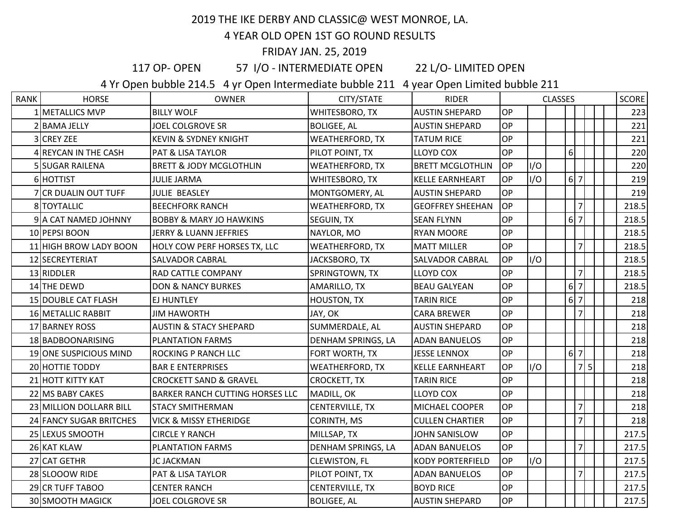## 2019 THE IKE DERBY AND CLASSIC@ WEST MONROE, LA.

## 4 YEAR OLD OPEN 1ST GO ROUND RESULTS

## FRIDAY JAN. 25, 2019

117 OP- OPEN 57 I/O - INTERMEDIATE OPEN 22 L/O- LIMITED OPEN

4 Yr Open bubble 214.5 4 yr Open Intermediate bubble 211 4 year Open Limited bubble 211

| <b>RANK</b> | <b>HORSE</b>            | <b>OWNER</b>                           | CITY/STATE             | <b>RIDER</b>            |           |     | <b>CLASSES</b> |                  |                |  | SCORE |
|-------------|-------------------------|----------------------------------------|------------------------|-------------------------|-----------|-----|----------------|------------------|----------------|--|-------|
|             | 1 METALLICS MVP         | <b>BILLY WOLF</b>                      | WHITESBORO, TX         | <b>AUSTIN SHEPARD</b>   | <b>OP</b> |     |                |                  |                |  | 223   |
|             | 2 BAMA JELLY            | <b>JOEL COLGROVE SR</b>                | <b>BOLIGEE, AL</b>     | <b>AUSTIN SHEPARD</b>   | <b>OP</b> |     |                |                  |                |  | 221   |
|             | 3 CREY ZEE              | <b>KEVIN &amp; SYDNEY KNIGHT</b>       | <b>WEATHERFORD, TX</b> | <b>TATUM RICE</b>       | <b>OP</b> |     |                |                  |                |  | 221   |
|             | 4 REYCAN IN THE CASH    | <b>PAT &amp; LISA TAYLOR</b>           | PILOT POINT, TX        | <b>LLOYD COX</b>        | <b>OP</b> |     |                | $\boldsymbol{6}$ |                |  | 220   |
|             | 5 SUGAR RAILENA         | <b>BRETT &amp; JODY MCGLOTHLIN</b>     | <b>WEATHERFORD, TX</b> | <b>BRETT MCGLOTHLIN</b> | OP        | I/O |                |                  |                |  | 220   |
|             | 6 HOTTIST               | <b>JULIE JARMA</b>                     | <b>WHITESBORO, TX</b>  | <b>KELLE EARNHEART</b>  | <b>OP</b> | I/O |                | 6 7              |                |  | 219   |
|             | 7 CR DUALIN OUT TUFF    | JULIE BEASLEY                          | MONTGOMERY, AL         | <b>AUSTIN SHEPARD</b>   | <b>OP</b> |     |                |                  |                |  | 219   |
|             | 8 TOYTALLIC             | <b>BEECHFORK RANCH</b>                 | <b>WEATHERFORD, TX</b> | <b>GEOFFREY SHEEHAN</b> | <b>OP</b> |     |                |                  | $\overline{7}$ |  | 218.5 |
|             | 9 A CAT NAMED JOHNNY    | <b>BOBBY &amp; MARY JO HAWKINS</b>     | SEGUIN, TX             | <b>SEAN FLYNN</b>       | <b>OP</b> |     |                | $6\vert$         | $\overline{7}$ |  | 218.5 |
|             | 10 PEPSI BOON           | JERRY & LUANN JEFFRIES                 | NAYLOR, MO             | <b>RYAN MOORE</b>       | <b>OP</b> |     |                |                  |                |  | 218.5 |
|             | 11 HIGH BROW LADY BOON  | HOLY COW PERF HORSES TX, LLC           | WEATHERFORD, TX        | <b>MATT MILLER</b>      | <b>OP</b> |     |                |                  | $\overline{7}$ |  | 218.5 |
|             | 12 SECREYTERIAT         | <b>SALVADOR CABRAL</b>                 | JACKSBORO, TX          | <b>SALVADOR CABRAL</b>  | OP        | I/O |                |                  |                |  | 218.5 |
|             | 13 RIDDLER              | RAD CATTLE COMPANY                     | SPRINGTOWN, TX         | <b>LLOYD COX</b>        | <b>OP</b> |     |                |                  | 7              |  | 218.5 |
|             | 14 THE DEWD             | <b>DON &amp; NANCY BURKES</b>          | AMARILLO, TX           | <b>BEAU GALYEAN</b>     | <b>OP</b> |     |                | 6                | $\overline{7}$ |  | 218.5 |
|             | 15 DOUBLE CAT FLASH     | EJ HUNTLEY                             | <b>HOUSTON, TX</b>     | <b>TARIN RICE</b>       | <b>OP</b> |     |                | $6\vert$         | $\overline{7}$ |  | 218   |
|             | 16 METALLIC RABBIT      | <b>JIM HAWORTH</b>                     | JAY, OK                | <b>CARA BREWER</b>      | <b>OP</b> |     |                |                  | $\overline{7}$ |  | 218   |
|             | 17 BARNEY ROSS          | <b>AUSTIN &amp; STACY SHEPARD</b>      | SUMMERDALE, AL         | <b>AUSTIN SHEPARD</b>   | <b>OP</b> |     |                |                  |                |  | 218   |
|             | 18 BADBOONARISING       | <b>PLANTATION FARMS</b>                | DENHAM SPRINGS, LA     | <b>ADAN BANUELOS</b>    | <b>OP</b> |     |                |                  |                |  | 218   |
|             | 19 ONE SUSPICIOUS MIND  | ROCKING P RANCH LLC                    | FORT WORTH, TX         | <b>JESSE LENNOX</b>     | <b>OP</b> |     |                | $6\overline{7}$  |                |  | 218   |
|             | 20 HOTTIE TODDY         | <b>BAR E ENTERPRISES</b>               | <b>WEATHERFORD, TX</b> | <b>KELLE EARNHEART</b>  | <b>OP</b> | I/O |                |                  | 7 5            |  | 218   |
|             | 21 HOTT KITTY KAT       | <b>CROCKETT SAND &amp; GRAVEL</b>      | CROCKETT, TX           | <b>TARIN RICE</b>       | <b>OP</b> |     |                |                  |                |  | 218   |
|             | 22 MS BABY CAKES        | <b>BARKER RANCH CUTTING HORSES LLC</b> | MADILL, OK             | <b>LLOYD COX</b>        | <b>OP</b> |     |                |                  |                |  | 218   |
|             | 23 MILLION DOLLARR BILL | <b>STACY SMITHERMAN</b>                | CENTERVILLE, TX        | <b>MICHAEL COOPER</b>   | <b>OP</b> |     |                |                  | $\overline{7}$ |  | 218   |
|             | 24 FANCY SUGAR BRITCHES | <b>VICK &amp; MISSY ETHERIDGE</b>      | CORINTH, MS            | <b>CULLEN CHARTIER</b>  | OP        |     |                |                  | $\overline{7}$ |  | 218   |
|             | 25 LEXUS SMOOTH         | <b>CIRCLE Y RANCH</b>                  | MILLSAP, TX            | <b>JOHN SANISLOW</b>    | <b>OP</b> |     |                |                  |                |  | 217.5 |
|             | 26 KAT KLAW             | <b>PLANTATION FARMS</b>                | DENHAM SPRINGS, LA     | <b>ADAN BANUELOS</b>    | <b>OP</b> |     |                |                  | $\overline{7}$ |  | 217.5 |
|             | 27 CAT GETHR            | JC JACKMAN                             | <b>CLEWISTON, FL</b>   | <b>KODY PORTERFIELD</b> | <b>OP</b> | I/O |                |                  |                |  | 217.5 |
|             | 28 SLOOOW RIDE          | PAT & LISA TAYLOR                      | PILOT POINT, TX        | <b>ADAN BANUELOS</b>    | OP        |     |                |                  | $\overline{7}$ |  | 217.5 |
|             | 29 CR TUFF TABOO        | <b>CENTER RANCH</b>                    | CENTERVILLE, TX        | <b>BOYD RICE</b>        | <b>OP</b> |     |                |                  |                |  | 217.5 |
|             | 30 SMOOTH MAGICK        | <b>JOEL COLGROVE SR</b>                | <b>BOLIGEE, AL</b>     | <b>AUSTIN SHEPARD</b>   | <b>OP</b> |     |                |                  |                |  | 217.5 |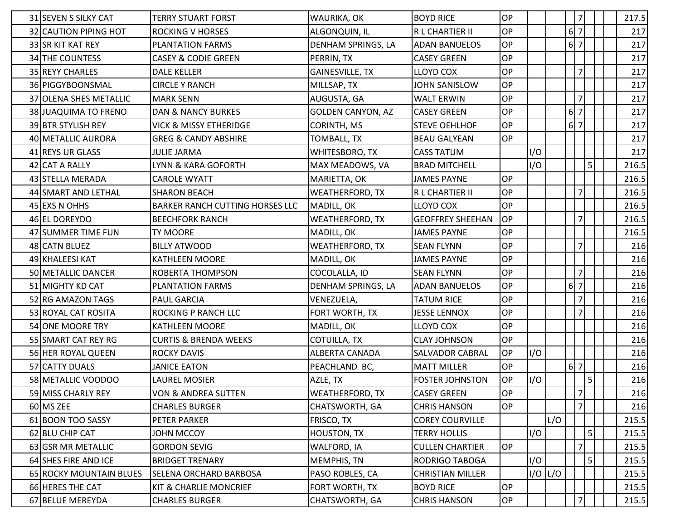| 31 SEVEN S SILKY CAT    | <b>TERRY STUART FORST</b>              | WAURIKA, OK              | <b>BOYD RICE</b>        | <b>OP</b> |     |             |                                | 7              |  | 217.5 |
|-------------------------|----------------------------------------|--------------------------|-------------------------|-----------|-----|-------------|--------------------------------|----------------|--|-------|
| 32 CAUTION PIPING HOT   | <b>ROCKING V HORSES</b>                | ALGONQUIN, IL            | R L CHARTIER II         | OP        |     |             | $6\vert$                       | $\overline{7}$ |  | 217   |
| 33 SR KIT KAT REY       | <b>PLANTATION FARMS</b>                | DENHAM SPRINGS, LA       | <b>ADAN BANUELOS</b>    | OP        |     |             | $6\vert$                       | $\overline{7}$ |  | 217   |
| 34 THE COUNTESS         | <b>CASEY &amp; CODIE GREEN</b>         | PERRIN, TX               | <b>CASEY GREEN</b>      | <b>OP</b> |     |             |                                |                |  | 217   |
| 35 REYY CHARLES         | <b>DALE KELLER</b>                     | <b>GAINESVILLE, TX</b>   | <b>LLOYD COX</b>        | OP        |     |             |                                | $\overline{7}$ |  | 217   |
| 36 PIGGYBOONSMAL        | <b>CIRCLE Y RANCH</b>                  | MILLSAP, TX              | JOHN SANISLOW           | <b>OP</b> |     |             |                                |                |  | 217   |
| 37 OLENA SHES METALLIC  | <b>MARK SENN</b>                       | AUGUSTA, GA              | <b>WALT ERWIN</b>       | OP        |     |             |                                | $\overline{7}$ |  | 217   |
| 38 JUAQUIMA TO FRENO    | <b>DAN &amp; NANCY BURKES</b>          | <b>GOLDEN CANYON, AZ</b> | <b>CASEY GREEN</b>      | <b>OP</b> |     |             | $6\vert$                       | $\overline{7}$ |  | 217   |
| 39 BTR STYLISH REY      | <b>VICK &amp; MISSY ETHERIDGE</b>      | CORINTH, MS              | <b>STEVE OEHLHOF</b>    | <b>OP</b> |     |             | $6 \overline{\smash{\big)}\,}$ |                |  | 217   |
| 40 METALLIC AURORA      | <b>GREG &amp; CANDY ABSHIRE</b>        | TOMBALL, TX              | <b>BEAU GALYEAN</b>     | OP        |     |             |                                |                |  | 217   |
| 41 REYS UR GLASS        | <b>JULIE JARMA</b>                     | WHITESBORO, TX           | <b>CASS TATUM</b>       |           | I/O |             |                                |                |  | 217   |
| 42 CAT A RALLY          | LYNN & KARA GOFORTH                    | MAX MEADOWS, VA          | <b>BRAD MITCHELL</b>    |           | I/O |             |                                | 5 <sub>l</sub> |  | 216.5 |
| 43 STELLA MERADA        | <b>CAROLE WYATT</b>                    | MARIETTA, OK             | <b>JAMES PAYNE</b>      | <b>OP</b> |     |             |                                |                |  | 216.5 |
| 44 SMART AND LETHAL     | <b>SHARON BEACH</b>                    | <b>WEATHERFORD, TX</b>   | R L CHARTIER II         | <b>OP</b> |     |             |                                | $\overline{7}$ |  | 216.5 |
| 45 EXS N OHHS           | <b>BARKER RANCH CUTTING HORSES LLC</b> | MADILL, OK               | <b>LLOYD COX</b>        | OP        |     |             |                                |                |  | 216.5 |
| 46 EL DOREYDO           | <b>BEECHFORK RANCH</b>                 | <b>WEATHERFORD, TX</b>   | <b>GEOFFREY SHEEHAN</b> | <b>OP</b> |     |             |                                | 7              |  | 216.5 |
| 47 SUMMER TIME FUN      | <b>TY MOORE</b>                        | MADILL, OK               | <b>JAMES PAYNE</b>      | <b>OP</b> |     |             |                                |                |  | 216.5 |
| 48 CATN BLUEZ           | <b>BILLY ATWOOD</b>                    | <b>WEATHERFORD, TX</b>   | <b>SEAN FLYNN</b>       | OP        |     |             |                                | 7              |  | 216   |
| 49 KHALEESI KAT         | <b>KATHLEEN MOORE</b>                  | MADILL, OK               | <b>JAMES PAYNE</b>      | <b>OP</b> |     |             |                                |                |  | 216   |
| 50 METALLIC DANCER      | <b>ROBERTA THOMPSON</b>                | COCOLALLA, ID            | <b>SEAN FLYNN</b>       | <b>OP</b> |     |             |                                | $\overline{7}$ |  | 216   |
| 51 MIGHTY KD CAT        | <b>PLANTATION FARMS</b>                | DENHAM SPRINGS, LA       | <b>ADAN BANUELOS</b>    | <b>OP</b> |     |             | 6                              | $\overline{7}$ |  | 216   |
| 52 RG AMAZON TAGS       | <b>PAUL GARCIA</b>                     | VENEZUELA,               | <b>TATUM RICE</b>       | OP        |     |             |                                | $\overline{7}$ |  | 216   |
| 53 ROYAL CAT ROSITA     | <b>ROCKING P RANCH LLC</b>             | FORT WORTH, TX           | <b>JESSE LENNOX</b>     | OP        |     |             |                                | $\overline{7}$ |  | 216   |
| 54 ONE MOORE TRY        | <b>KATHLEEN MOORE</b>                  | MADILL, OK               | <b>LLOYD COX</b>        | <b>OP</b> |     |             |                                |                |  | 216   |
| 55 SMART CAT REY RG     | <b>CURTIS &amp; BRENDA WEEKS</b>       | COTUILLA, TX             | <b>CLAY JOHNSON</b>     | <b>OP</b> |     |             |                                |                |  | 216   |
| 56 HER ROYAL QUEEN      | <b>ROCKY DAVIS</b>                     | <b>ALBERTA CANADA</b>    | <b>SALVADOR CABRAL</b>  | OP        | I/O |             |                                |                |  | 216   |
| 57 CATTY DUALS          | <b>JANICE EATON</b>                    | PEACHLAND BC,            | <b>MATT MILLER</b>      | OP        |     |             | $6\vert$                       | $\overline{7}$ |  | 216   |
| 58 METALLIC VOODOO      | <b>LAUREL MOSIER</b>                   | AZLE, TX                 | <b>FOSTER JOHNSTON</b>  | OP        | I/O |             |                                | 5              |  | 216   |
| 59 MISS CHARLY REY      | <b>VON &amp; ANDREA SUTTEN</b>         | <b>WEATHERFORD, TX</b>   | <b>CASEY GREEN</b>      | OP        |     |             |                                | $\overline{7}$ |  | 216   |
| 60 MS ZEE               | <b>CHARLES BURGER</b>                  | CHATSWORTH, GA           | <b>CHRIS HANSON</b>     | OP        |     |             |                                | $\overline{7}$ |  | 216   |
| 61 BOON TOO SASSY       | <b>PETER PARKER</b>                    | FRISCO, TX               | <b>COREY COURVILLE</b>  |           |     | L/O         |                                |                |  | 215.5 |
| 62 BLU CHIP CAT         | JOHN MCCOY                             | HOUSTON, TX              | <b>TERRY HOLLIS</b>     |           | I/O |             |                                | 5 <sub>l</sub> |  | 215.5 |
| 63 GSR MR METALLIC      | <b>GORDON SEVIG</b>                    | WALFORD, IA              | <b>CULLEN CHARTIER</b>  | OP        |     |             |                                | $\overline{7}$ |  | 215.5 |
| 64 SHES FIRE AND ICE    | <b>BRIDGET TRENARY</b>                 | <b>MEMPHIS, TN</b>       | <b>RODRIGO TABOGA</b>   |           | I/O |             |                                | $\mathsf{S}$   |  | 215.5 |
| 65 ROCKY MOUNTAIN BLUES | <b>SELENA ORCHARD BARBOSA</b>          | PASO ROBLES, CA          | <b>CHRISTIAN MILLER</b> |           |     | $I/O$ $L/O$ |                                |                |  | 215.5 |
| 66 HERES THE CAT        | <b>KIT &amp; CHARLIE MONCRIEF</b>      | FORT WORTH, TX           | <b>BOYD RICE</b>        | OP        |     |             |                                |                |  | 215.5 |
| 67 BELUE MEREYDA        | <b>CHARLES BURGER</b>                  | CHATSWORTH, GA           | <b>CHRIS HANSON</b>     | OP        |     |             |                                | 7              |  | 215.5 |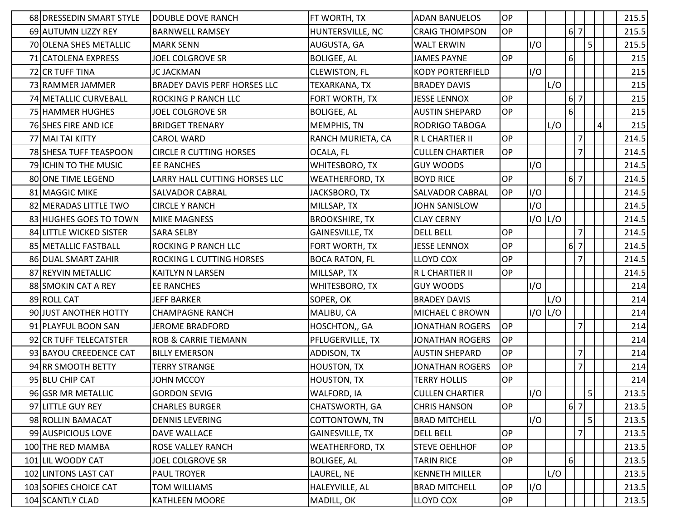| 68 DRESSEDIN SMART STYLE | DOUBLE DOVE RANCH                   | FT WORTH, TX           | <b>ADAN BANUELOS</b>    | <b>OP</b> |             |     |                                |                |         | 215.5 |
|--------------------------|-------------------------------------|------------------------|-------------------------|-----------|-------------|-----|--------------------------------|----------------|---------|-------|
| 69 AUTUMN LIZZY REY      | <b>BARNWELL RAMSEY</b>              | HUNTERSVILLE, NC       | <b>CRAIG THOMPSON</b>   | OP        |             |     | $6 \overline{\smash{\big)}\,}$ |                |         | 215.5 |
| 70 OLENA SHES METALLIC   | <b>MARK SENN</b>                    | AUGUSTA, GA            | <b>WALT ERWIN</b>       |           | I/O         |     |                                | 5              |         | 215.5 |
| 71 CATOLENA EXPRESS      | JOEL COLGROVE SR                    | <b>BOLIGEE, AL</b>     | <b>JAMES PAYNE</b>      | <b>OP</b> |             |     | 6                              |                |         | 215   |
| 72 CR TUFF TINA          | <b>JC JACKMAN</b>                   | <b>CLEWISTON, FL</b>   | <b>KODY PORTERFIELD</b> |           | I/O         |     |                                |                |         | 215   |
| 73 RAMMER JAMMER         | <b>BRADEY DAVIS PERF HORSES LLC</b> | TEXARKANA, TX          | <b>BRADEY DAVIS</b>     |           |             | L/O |                                |                |         | 215   |
| 74 METALLIC CURVEBALL    | ROCKING P RANCH LLC                 | FORT WORTH, TX         | JESSE LENNOX            | <b>OP</b> |             |     | $6 \overline{\smash{\big)}\,}$ |                |         | 215   |
| 75 HAMMER HUGHES         | <b>JOEL COLGROVE SR</b>             | <b>BOLIGEE, AL</b>     | <b>AUSTIN SHEPARD</b>   | OP        |             |     | 6 <sup>1</sup>                 |                |         | 215   |
| 76 SHES FIRE AND ICE     | <b>BRIDGET TRENARY</b>              | MEMPHIS, TN            | RODRIGO TABOGA          |           |             | L/O |                                |                | $\vert$ | 215   |
| 77 MAI TAI KITTY         | <b>CAROL WARD</b>                   | RANCH MURIETA, CA      | R L CHARTIER II         | OP        |             |     |                                | $\overline{7}$ |         | 214.5 |
| 78 SHESA TUFF TEASPOON   | <b>CIRCLE R CUTTING HORSES</b>      | OCALA, FL              | <b>CULLEN CHARTIER</b>  | <b>OP</b> |             |     |                                | 7              |         | 214.5 |
| 79 ICHIN TO THE MUSIC    | <b>EE RANCHES</b>                   | WHITESBORO, TX         | <b>GUY WOODS</b>        |           | I/O         |     |                                |                |         | 214.5 |
| 80 ONE TIME LEGEND       | LARRY HALL CUTTING HORSES LLC       | <b>WEATHERFORD, TX</b> | <b>BOYD RICE</b>        | <b>OP</b> |             |     | $6\overline{7}$                |                |         | 214.5 |
| 81 MAGGIC MIKE           | SALVADOR CABRAL                     | JACKSBORO, TX          | SALVADOR CABRAL         | <b>OP</b> | I/O         |     |                                |                |         | 214.5 |
| 82 MERADAS LITTLE TWO    | <b>CIRCLE Y RANCH</b>               | MILLSAP, TX            | JOHN SANISLOW           |           | I/O         |     |                                |                |         | 214.5 |
| 83 HUGHES GOES TO TOWN   | <b>MIKE MAGNESS</b>                 | <b>BROOKSHIRE, TX</b>  | <b>CLAY CERNY</b>       |           | I/O   L/O   |     |                                |                |         | 214.5 |
| 84 LITTLE WICKED SISTER  | <b>SARA SELBY</b>                   | GAINESVILLE, TX        | <b>DELL BELL</b>        | <b>OP</b> |             |     |                                | $\overline{7}$ |         | 214.5 |
| 85 METALLIC FASTBALL     | ROCKING P RANCH LLC                 | FORT WORTH, TX         | <b>JESSE LENNOX</b>     | <b>OP</b> |             |     | $6\overline{7}$                |                |         | 214.5 |
| 86 DUAL SMART ZAHIR      | ROCKING L CUTTING HORSES            | <b>BOCA RATON, FL</b>  | <b>LLOYD COX</b>        | <b>OP</b> |             |     |                                | 7              |         | 214.5 |
| 87 REYVIN METALLIC       | KAITLYN N LARSEN                    | MILLSAP, TX            | R L CHARTIER II         | <b>OP</b> |             |     |                                |                |         | 214.5 |
| 88 SMOKIN CAT A REY      | <b>EE RANCHES</b>                   | WHITESBORO, TX         | <b>GUY WOODS</b>        |           | I/O         |     |                                |                |         | 214   |
| 89 ROLL CAT              | <b>JEFF BARKER</b>                  | SOPER, OK              | <b>BRADEY DAVIS</b>     |           |             | L/O |                                |                |         | 214   |
| 90 JUST ANOTHER HOTTY    | <b>CHAMPAGNE RANCH</b>              | MALIBU, CA             | MICHAEL C BROWN         |           | $I/O$ $L/O$ |     |                                |                |         | 214   |
| 91 PLAYFUL BOON SAN      | <b>JEROME BRADFORD</b>              | HOSCHTON,, GA          | <b>JONATHAN ROGERS</b>  | <b>OP</b> |             |     |                                | $\overline{7}$ |         | 214   |
| 92 CR TUFF TELECATSTER   | <b>ROB &amp; CARRIE TIEMANN</b>     | PFLUGERVILLE, TX       | <b>JONATHAN ROGERS</b>  | <b>OP</b> |             |     |                                |                |         | 214   |
| 93 BAYOU CREEDENCE CAT   | <b>BILLY EMERSON</b>                | ADDISON, TX            | <b>AUSTIN SHEPARD</b>   | <b>OP</b> |             |     |                                | $\overline{7}$ |         | 214   |
| 94 RR SMOOTH BETTY       | <b>TERRY STRANGE</b>                | <b>HOUSTON, TX</b>     | <b>JONATHAN ROGERS</b>  | OP        |             |     |                                | $\overline{7}$ |         | 214   |
| 95 BLU CHIP CAT          | JOHN MCCOY                          | <b>HOUSTON, TX</b>     | <b>TERRY HOLLIS</b>     | OP        |             |     |                                |                |         | 214   |
| 96 GSR MR METALLIC       | <b>GORDON SEVIG</b>                 | WALFORD, IA            | <b>CULLEN CHARTIER</b>  |           | 1/O         |     |                                | 5 <sub>l</sub> |         | 213.5 |
| 97 LITTLE GUY REY        | <b>CHARLES BURGER</b>               | CHATSWORTH, GA         | <b>CHRIS HANSON</b>     | <b>OP</b> |             |     | 6 7                            |                |         | 213.5 |
| 98 ROLLIN BAMACAT        | <b>DENNIS LEVERING</b>              | COTTONTOWN, TN         | <b>BRAD MITCHELL</b>    |           | I/O         |     |                                | 5 <sub>l</sub> |         | 213.5 |
| 99 AUSPICIOUS LOVE       | DAVE WALLACE                        | GAINESVILLE, TX        | <b>DELL BELL</b>        | OP        |             |     |                                | $\overline{7}$ |         | 213.5 |
| 100 THE RED MAMBA        | ROSE VALLEY RANCH                   | WEATHERFORD, TX        | <b>STEVE OEHLHOF</b>    | OP        |             |     |                                |                |         | 213.5 |
| 101 LIL WOODY CAT        | JOEL COLGROVE SR                    | <b>BOLIGEE, AL</b>     | <b>TARIN RICE</b>       | OP        |             |     | $6 \mid$                       |                |         | 213.5 |
| 102 LINTONS LAST CAT     | <b>PAUL TROYER</b>                  | LAUREL, NE             | <b>KENNETH MILLER</b>   |           |             | L/O |                                |                |         | 213.5 |
| 103 SOFIES CHOICE CAT    | TOM WILLIAMS                        | HALEYVILLE, AL         | <b>BRAD MITCHELL</b>    | OP        | I/O         |     |                                |                |         | 213.5 |
| 104 SCANTLY CLAD         | KATHLEEN MOORE                      | MADILL, OK             | LLOYD COX               | OP        |             |     |                                |                |         | 213.5 |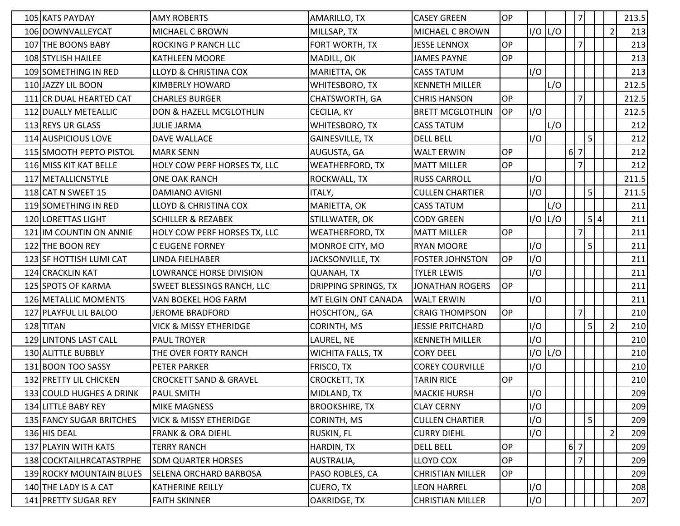| 105 KATS PAYDAY          | <b>AMY ROBERTS</b>                | AMARILLO, TX             | <b>CASEY GREEN</b>      | OP        |             |     |                 | $\overline{7}$ |     |                | 213.5 |
|--------------------------|-----------------------------------|--------------------------|-------------------------|-----------|-------------|-----|-----------------|----------------|-----|----------------|-------|
| 106 DOWNVALLEYCAT        | MICHAEL C BROWN                   | MILLSAP, TX              | MICHAEL C BROWN         |           | $I/O$ $L/O$ |     |                 |                |     | $\overline{2}$ | 213   |
| 107 THE BOONS BABY       | ROCKING P RANCH LLC               | FORT WORTH, TX           | <b>JESSE LENNOX</b>     | <b>OP</b> |             |     |                 | $\overline{7}$ |     |                | 213   |
| 108 STYLISH HAILEE       | <b>KATHLEEN MOORE</b>             | MADILL, OK               | JAMES PAYNE             | <b>OP</b> |             |     |                 |                |     |                | 213   |
| 109 SOMETHING IN RED     | <b>LLOYD &amp; CHRISTINA COX</b>  | MARIETTA, OK             | <b>CASS TATUM</b>       |           | I/O         |     |                 |                |     |                | 213   |
| 110 JAZZY LIL BOON       | <b>KIMBERLY HOWARD</b>            | WHITESBORO, TX           | <b>KENNETH MILLER</b>   |           |             | L/O |                 |                |     |                | 212.5 |
| 111 CR DUAL HEARTED CAT  | <b>CHARLES BURGER</b>             | CHATSWORTH, GA           | <b>CHRIS HANSON</b>     | <b>OP</b> |             |     |                 | $\overline{7}$ |     |                | 212.5 |
| 112 DUALLY METEALLIC     | DON & HAZELL MCGLOTHLIN           | CECILIA, KY              | <b>BRETT MCGLOTHLIN</b> | <b>OP</b> | I/O         |     |                 |                |     |                | 212.5 |
| 113 REYS UR GLASS        | <b>JULIE JARMA</b>                | WHITESBORO, TX           | <b>CASS TATUM</b>       |           |             | L/O |                 |                |     |                | 212   |
| 114 AUSPICIOUS LOVE      | DAVE WALLACE                      | <b>GAINESVILLE, TX</b>   | <b>DELL BELL</b>        |           | I/O         |     |                 | 5              |     |                | 212   |
| 115 SMOOTH PEPTO PISTOL  | <b>MARK SENN</b>                  | AUGUSTA, GA              | <b>WALT ERWIN</b>       | <b>OP</b> |             |     | $6\overline{7}$ |                |     |                | 212   |
| 116 MISS KIT KAT BELLE   | HOLY COW PERF HORSES TX, LLC      | <b>WEATHERFORD, TX</b>   | <b>MATT MILLER</b>      | <b>OP</b> |             |     |                 | $\overline{7}$ |     |                | 212   |
| 117 METALLICNSTYLE       | <b>ONE OAK RANCH</b>              | ROCKWALL, TX             | <b>RUSS CARROLL</b>     |           | I/O         |     |                 |                |     |                | 211.5 |
| 118 CAT N SWEET 15       | DAMIANO AVIGNI                    | ITALY,                   | <b>CULLEN CHARTIER</b>  |           | I/O         |     |                 | 5              |     |                | 211.5 |
| 119 SOMETHING IN RED     | <b>LLOYD &amp; CHRISTINA COX</b>  | MARIETTA, OK             | <b>CASS TATUM</b>       |           |             | L/O |                 |                |     |                | 211   |
| 120 LORETTAS LIGHT       | <b>SCHILLER &amp; REZABEK</b>     | STILLWATER, OK           | <b>CODY GREEN</b>       |           | I/O         | L/O |                 |                | 5 4 |                | 211   |
| 121 IM COUNTIN ON ANNIE  | HOLY COW PERF HORSES TX, LLC      | <b>WEATHERFORD, TX</b>   | <b>MATT MILLER</b>      | <b>OP</b> |             |     |                 | $\overline{7}$ |     |                | 211   |
| 122 THE BOON REY         | <b>C EUGENE FORNEY</b>            | MONROE CITY, MO          | <b>RYAN MOORE</b>       |           | I/O         |     |                 | 5              |     |                | 211   |
| 123 SF HOTTISH LUMI CAT  | LINDA FIELHABER                   | JACKSONVILLE, TX         | <b>FOSTER JOHNSTON</b>  | <b>OP</b> | I/O         |     |                 |                |     |                | 211   |
| 124 CRACKLIN KAT         | LOWRANCE HORSE DIVISION           | <b>QUANAH, TX</b>        | <b>TYLER LEWIS</b>      |           | I/O         |     |                 |                |     |                | 211   |
| 125 SPOTS OF KARMA       | <b>SWEET BLESSINGS RANCH, LLC</b> | DRIPPING SPRINGS, TX     | JONATHAN ROGERS         | <b>OP</b> |             |     |                 |                |     |                | 211   |
| 126 METALLIC MOMENTS     | VAN BOEKEL HOG FARM               | MT ELGIN ONT CANADA      | <b>WALT ERWIN</b>       |           | I/O         |     |                 |                |     |                | 211   |
| 127 PLAYFUL LIL BALOO    | <b>JEROME BRADFORD</b>            | HOSCHTON,, GA            | <b>CRAIG THOMPSON</b>   | OP        |             |     |                 | $\overline{7}$ |     |                | 210   |
| 128 TITAN                | <b>VICK &amp; MISSY ETHERIDGE</b> | CORINTH, MS              | <b>JESSIE PRITCHARD</b> |           | I/O         |     |                 | 5              |     | $\overline{2}$ | 210   |
| 129 LINTONS LAST CALL    | <b>PAUL TROYER</b>                | LAUREL, NE               | <b>KENNETH MILLER</b>   |           | I/O         |     |                 |                |     |                | 210   |
| 130 ALITTLE BUBBLY       | THE OVER FORTY RANCH              | <b>WICHITA FALLS, TX</b> | <b>CORY DEEL</b>        |           | I/O         | L/O |                 |                |     |                | 210   |
| 131 BOON TOO SASSY       | PETER PARKER                      | FRISCO, TX               | <b>COREY COURVILLE</b>  |           | I/O         |     |                 |                |     |                | 210   |
| 132 PRETTY LIL CHICKEN   | <b>CROCKETT SAND &amp; GRAVEL</b> | CROCKETT, TX             | <b>TARIN RICE</b>       | OP        |             |     |                 |                |     |                | 210   |
| 133 COULD HUGHES A DRINK | <b>PAUL SMITH</b>                 | MIDLAND, TX              | <b>MACKIE HURSH</b>     |           | I/O         |     |                 |                |     |                | 209   |
| 134 LITTLE BABY REY      | <b>MIKE MAGNESS</b>               | <b>BROOKSHIRE, TX</b>    | <b>CLAY CERNY</b>       |           | I/O         |     |                 |                |     |                | 209   |
| 135 FANCY SUGAR BRITCHES | <b>VICK &amp; MISSY ETHERIDGE</b> | CORINTH, MS              | <b>CULLEN CHARTIER</b>  |           | I/O         |     |                 | 5              |     |                | 209   |
| 136 HIS DEAL             | <b>FRANK &amp; ORA DIEHL</b>      | RUSKIN, FL               | <b>CURRY DIEHL</b>      |           | I/O         |     |                 |                |     | $\overline{2}$ | 209   |
| 137 PLAYIN WITH KATS     | <b>TERRY RANCH</b>                | HARDIN, TX               | <b>DELL BELL</b>        | OP        |             |     | 6 <sup>7</sup>  |                |     |                | 209   |
| 138 COCKTAILHRCATASTRPHE | <b>SDM QUARTER HORSES</b>         | AUSTRALIA,               | LLOYD COX               | OP        |             |     |                 | 7              |     |                | 209   |
| 139 ROCKY MOUNTAIN BLUES | <b>SELENA ORCHARD BARBOSA</b>     | PASO ROBLES, CA          | <b>CHRISTIAN MILLER</b> | OP        |             |     |                 |                |     |                | 209   |
| 140 THE LADY IS A CAT    | <b>KATHERINE REILLY</b>           | CUERO, TX                | <b>LEON HARREL</b>      |           | I/O         |     |                 |                |     |                | 208   |
| 141 PRETTY SUGAR REY     | <b>FAITH SKINNER</b>              | OAKRIDGE, TX             | <b>CHRISTIAN MILLER</b> |           | I/O         |     |                 |                |     |                | 207   |
|                          |                                   |                          |                         |           |             |     |                 |                |     |                |       |